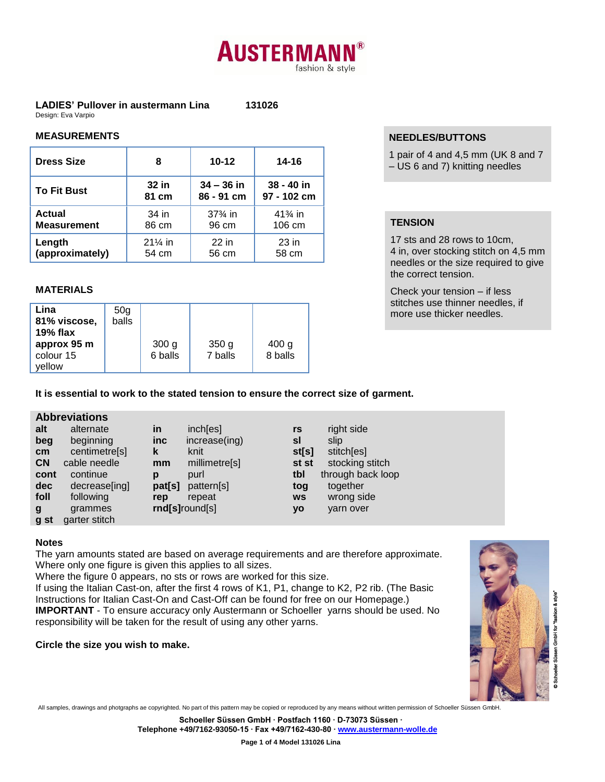# **AUSTERMAN** fashion & style

#### **LADIES' Pullover in austermann Lina 131026** Design: Eva Varpio

### **MEASUREMENTS**

| <b>Dress Size</b>  | 8         | $10 - 12$          | 14-16       |
|--------------------|-----------|--------------------|-------------|
| <b>To Fit Bust</b> | 32 in     | $34 - 36$ in       | 38 - 40 in  |
|                    | 81 cm     | 86 - 91 cm         | 97 - 102 cm |
| <b>Actual</b>      | 34 in     | $37\frac{3}{4}$ in | $41\%$ in   |
| <b>Measurement</b> | 86 cm     | 96 cm              | 106 cm      |
| Length             | $21\%$ in | 22 in              | $23$ in     |
| (approximately)    | 54 cm     | 56 cm              | 58 cm       |

# **MATERIALS**

## **NEEDLES/BUTTONS**

1 pair of 4 and 4,5 mm (UK 8 and 7  $-$  US 6 and 7) knitting needles

# **TENSION**

17 sts and 28 rows to 10cm, 4 in, over stocking stitch on 4,5 mm needles or the size required to give the correct tension.

Check your tension – if less stitches use thinner needles, if more use thicker needles.

# **It is essential to work to the stated tension to ensure the correct size of garment.**

### **Abbreviations**

| alternate     | in     | inch[es]      | rs             | right side        |
|---------------|--------|---------------|----------------|-------------------|
| beginning     | inc    | increase(ing) | sl             | slip              |
| centimetre[s] | k      | knit          | st[s]          | stitch[es]        |
| cable needle  | mm     | millimetre[s] | st st          | stocking stitch   |
| continue      | D      | purl          | tbl            | through back loop |
| decrease[ing] | pat[s] | pattern[s]    | tog            | together          |
| following     | rep    | repeat        | <b>WS</b>      | wrong side        |
| grammes       |        |               | уo             | varn over         |
| garter stitch |        |               |                |                   |
|               |        |               | rnd[s]round[s] |                   |

### **Notes**

The yarn amounts stated are based on average requirements and are therefore approximate. Where only one figure is given this applies to all sizes.

Where the figure 0 appears, no sts or rows are worked for this size.

If using the Italian Cast-on, after the first 4 rows of K1, P1, change to K2, P2 rib. (The Basic Instructions for Italian Cast-On and Cast-Off can be found for free on our Homepage.) **IMPORTANT** - To ensure accuracy only Austermann or Schoeller yarns should be used. No responsibility will be taken for the result of using any other yarns.

### **Circle the size you wish to make.**



All samples, drawings and photgraphs ae copyrighted. No part of this pattern may be copied or reproduced by any means without written permission of Schoeller Süssen GmbH.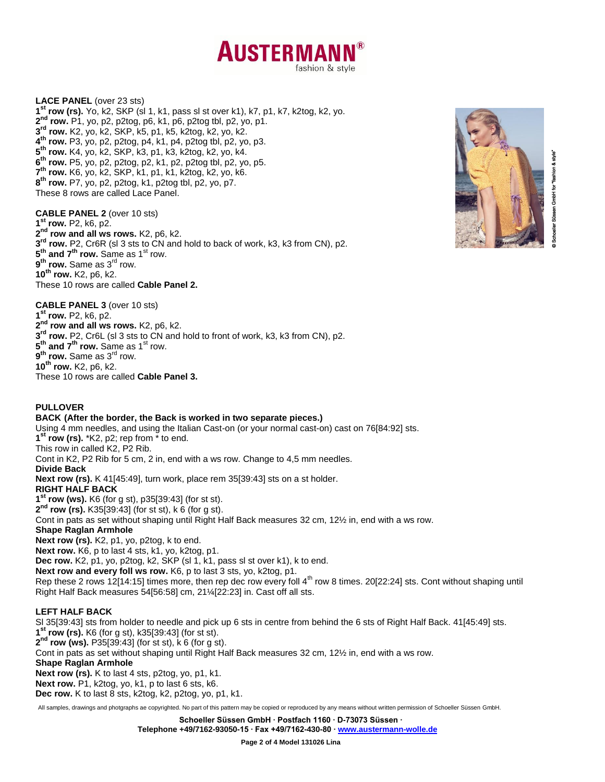

**LACE PANEL** (over 23 sts) **1 st row (rs).** Yo, k2, SKP (sl 1, k1, pass sl st over k1), k7, p1, k7, k2tog, k2, yo. **nd row.** P1, yo, p2, p2tog, p6, k1, p6, p2tog tbl, p2, yo, p1. **rd row.** K2, yo, k2, SKP, k5, p1, k5, k2tog, k2, yo, k2. **th row.** P3, yo, p2, p2tog, p4, k1, p4, p2tog tbl, p2, yo, p3. **th row.** K4, yo, k2, SKP, k3, p1, k3, k2tog, k2, yo, k4. **th row.** P5, yo, p2, p2tog, p2, k1, p2, p2tog tbl, p2, yo, p5. **th row.** K6, yo, k2, SKP, k1, p1, k1, k2tog, k2, yo, k6. **th row.** P7, yo, p2, p2tog, k1, p2tog tbl, p2, yo, p7. These 8 rows are called Lace Panel.

**CABLE PANEL 2** (over 10 sts) **1 st row.** P2, k6, p2. **2 nd row and all ws rows.** K2, p6, k2. **3 rd row.** P2, Cr6R (sl 3 sts to CN and hold to back of work, k3, k3 from CN), p2.  $5^{\text{th}}$  **and 7<sup>th</sup> row.** Same as 1<sup>st</sup> row.  $9^\text{th}$  row. Same as 3<sup>rd</sup> row. **10th row.** K2, p6, k2. These 10 rows are called **Cable Panel 2.**



for "fashion & style

**CABLE PANEL 3** (over 10 sts) **1 st row.** P2, k6, p2. **2 nd row and all ws rows.** K2, p6, k2. **3 rd row.** P2, Cr6L (sl 3 sts to CN and hold to front of work, k3, k3 from CN), p2.  $5<sup>th</sup>$  **and 7<sup>th</sup> row.** Same as 1<sup>st</sup> row.  $9^\text{th}$  row. Same as 3<sup>rd</sup> row. **10th row.** K2, p6, k2. These 10 rows are called **Cable Panel 3.**

#### **PULLOVER**

**BACK (After the border, the Back is worked in two separate pieces.)** Using 4 mm needles, and using the Italian Cast-on (or your normal cast-on) cast on 76[84:92] sts. **1 st row (rs).** \*K2, p2; rep from \* to end. This row in called K2, P2 Rib. Cont in K2, P2 Rib for 5 cm, 2 in, end with a ws row. Change to 4,5 mm needles. **Divide Back Next row (rs).** K 41[45:49], turn work, place rem 35[39:43] sts on a st holder. **RIGHT HALF BACK 1 st row (ws).** K6 (for g st), p35[39:43] (for st st). **2 nd row (rs).** K35[39:43] (for st st), k 6 (for g st). Cont in pats as set without shaping until Right Half Back measures 32 cm, 12½ in, end with a ws row. **Shape Raglan Armhole Next row (rs).** K2, p1, yo, p2tog, k to end. **Next row.** K6, p to last 4 sts, k1, yo, k2tog, p1. **Dec row.** K2, p1, yo, p2tog, k2, SKP (sl 1, k1, pass sl st over k1), k to end. **Next row and every foll ws row.** K6, p to last 3 sts, yo, k2tog, p1. Rep these 2 rows 12[14:15] times more, then rep dec row every foll  $4<sup>th</sup>$  row 8 times. 20[22:24] sts. Cont without shaping until Right Half Back measures 54[56:58] cm, 21¼[22:23] in. Cast off all sts. **LEFT HALF BACK** Sl 35[39:43] sts from holder to needle and pick up 6 sts in centre from behind the 6 sts of Right Half Back. 41[45:49] sts. **1 st row (rs).** K6 (for g st), k35[39:43] (for st st). **2 nd row (ws).** P35[39:43] (for st st), k 6 (for g st).

Cont in pats as set without shaping until Right Half Back measures 32 cm, 12½ in, end with a ws row.

#### **Shape Raglan Armhole**

**Next row (rs).** K to last 4 sts, p2tog, yo, p1, k1.

**Next row.** P1, k2tog, yo, k1, p to last 6 sts, k6.

**Dec row.** K to last 8 sts, k2tog, k2, p2tog, yo, p1, k1.

All samples, drawings and photgraphs ae copyrighted. No part of this pattern may be copied or reproduced by any means without written permission of Schoeller Süssen GmbH.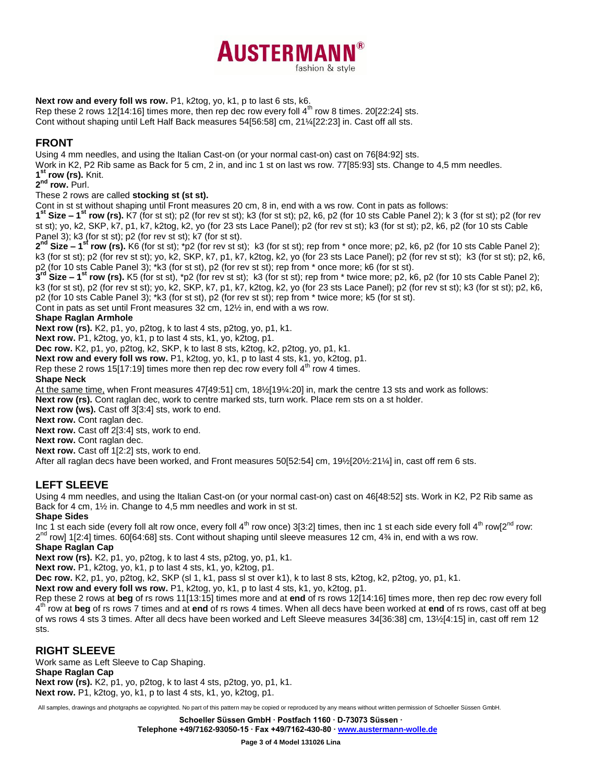

### **Next row and every foll ws row.** P1, k2tog, yo, k1, p to last 6 sts, k6.

Rep these 2 rows 12[14:16] times more, then rep dec row every foll  $4<sup>th</sup>$  row 8 times. 20[22:24] sts. Cont without shaping until Left Half Back measures 54[56:58] cm, 21¼[22:23] in. Cast off all sts.

### **FRONT**

Using 4 mm needles, and using the Italian Cast-on (or your normal cast-on) cast on 76[84:92] sts.

Work in K2, P2 Rib same as Back for 5 cm, 2 in, and inc 1 st on last ws row. 77[85:93] sts. Change to 4,5 mm needles.

**1 st row (rs).** Knit.

**2 nd row.** Purl.

#### These 2 rows are called **stocking st (st st).**

Cont in st st without shaping until Front measures 20 cm, 8 in, end with a ws row. Cont in pats as follows:

**1 st Size – 1 st row (rs).** K7 (for st st); p2 (for rev st st); k3 (for st st); p2, k6, p2 (for 10 sts Cable Panel 2); k 3 (for st st); p2 (for rev st st); yo, k2, SKP, k7, p1, k7, k2tog, k2, yo (for 23 sts Lace Panel); p2 (for rev st st); k3 (for st st); p2, k6, p2 (for 10 sts Cable Panel 3); k3 (for st st); p2 (for rev st st); k7 (for st st).

**2 nd Size – 1 st row (rs).** K6 (for st st); \*p2 (for rev st st); k3 (for st st); rep from \* once more; p2, k6, p2 (for 10 sts Cable Panel 2); k3 (for st st); p2 (for rev st st); yo, k2, SKP, k7, p1, k7, k2tog, k2, yo (for 23 sts Lace Panel); p2 (for rev st st); k3 (for st st); p2, k6, p2 (for 10 sts Cable Panel 3); \*k3 (for st st), p2 (for rev st st); rep from \* once more; k6 (for st st).

**3 rd Size – 1 st row (rs).** K5 (for st st), \*p2 (for rev st st); k3 (for st st); rep from \* twice more; p2, k6, p2 (for 10 sts Cable Panel 2); k3 (for st st), p2 (for rev st st); yo, k2, SKP, k7, p1, k7, k2tog, k2, yo (for 23 sts Lace Panel); p2 (for rev st st); k3 (for st st); p2, k6, p2 (for 10 sts Cable Panel 3); \*k3 (for st st), p2 (for rev st st); rep from \* twice more; k5 (for st st).

Cont in pats as set until Front measures 32 cm, 12½ in, end with a ws row.

#### **Shape Raglan Armhole**

**Next row (rs).** K2, p1, yo, p2tog, k to last 4 sts, p2tog, yo, p1, k1.

**Next row.** P1, k2tog, yo, k1, p to last 4 sts, k1, yo, k2tog, p1.

**Dec row.** K2, p1, yo, p2tog, k2, SKP, k to last 8 sts, k2tog, k2, p2tog, yo, p1, k1.

**Next row and every foll ws row.** P1, k2tog, yo, k1, p to last 4 sts, k1, yo, k2tog, p1.

Rep these 2 rows 15[17:19] times more then rep dec row every foll  $4<sup>th</sup>$  row 4 times.

**Shape Neck**

At the same time, when Front measures 47[49:51] cm, 18½[19¼:20] in, mark the centre 13 sts and work as follows:

Next row (rs). Cont raglan dec, work to centre marked sts, turn work. Place rem sts on a st holder.

**Next row (ws).** Cast off 3[3:4] sts, work to end.

**Next row.** Cont raglan dec.

**Next row.** Cast off 2[3:4] sts, work to end.

**Next row.** Cont raglan dec.

**Next row.** Cast off 1[2:2] sts, work to end.

After all raglan decs have been worked, and Front measures 50[52:54] cm, 19½[20½:21¼] in, cast off rem 6 sts.

# **LEFT SLEEVE**

Using 4 mm needles, and using the Italian Cast-on (or your normal cast-on) cast on 46[48:52] sts. Work in K2, P2 Rib same as Back for 4 cm, 1½ in. Change to 4,5 mm needles and work in st st.

#### **Shape Sides**

Inc 1 st each side (every foll alt row once, every foll  $4^{\text{th}}$  row once) 3[3:2] times, then inc 1 st each side every foll  $4^{\text{th}}$  row[2<sup>nd</sup> row: 2<sup>nd</sup> row] 1[2:4] times. 60[64:68] sts. Cont without shaping until sleeve measures 12 cm, 4¾ in, end with a ws row.

# **Shape Raglan Cap**

**Next row (rs).** K2, p1, yo, p2tog, k to last 4 sts, p2tog, yo, p1, k1.

**Next row.** P1, k2tog, yo, k1, p to last 4 sts, k1, yo, k2tog, p1.

**Dec row.** K2, p1, yo, p2tog, k2, SKP (sl 1, k1, pass sl st over k1), k to last 8 sts, k2tog, k2, p2tog, yo, p1, k1.

**Next row and every foll ws row.** P1, k2tog, yo, k1, p to last 4 sts, k1, yo, k2tog, p1.

Rep these 2 rows at **beg** of rs rows 11[13:15] times more and at **end** of rs rows 12[14:16] times more, then rep dec row every foll 4 th row at **beg** of rs rows 7 times and at **end** of rs rows 4 times. When all decs have been worked at **end** of rs rows, cast off at beg of ws rows 4 sts 3 times. After all decs have been worked and Left Sleeve measures 34[36:38] cm, 13½[4:15] in, cast off rem 12 sts.

# **RIGHT SLEEVE**

Work same as Left Sleeve to Cap Shaping. **Shape Raglan Cap Next row (rs).** K2, p1, yo, p2tog, k to last 4 sts, p2tog, yo, p1, k1. **Next row.** P1, k2tog, yo, k1, p to last 4 sts, k1, yo, k2tog, p1.

All samples, drawings and photgraphs ae copyrighted. No part of this pattern may be copied or reproduced by any means without written permission of Schoeller Süssen GmbH.